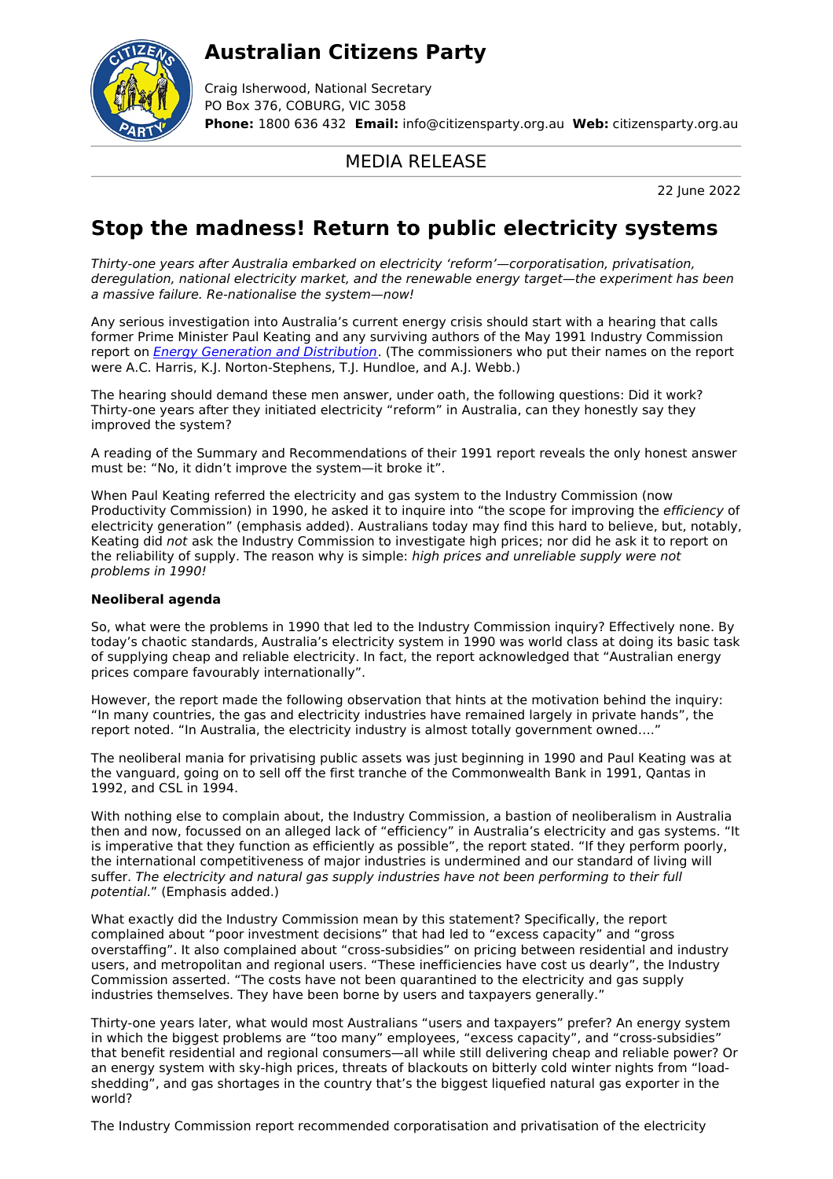## **Australian Citizens Party**



Craig Isherwood, National Secretary PO Box 376, COBURG, VIC 3058 **Phone:** 1800 636 432 **Email:** info@citizensparty.org.au **Web:** citizensparty.org.au

### MEDIA RELEASE

22 June 2022

# **Stop the madness! Return to public electricity systems**

Thirty-one years after Australia embarked on electricity 'reform'—corporatisation, privatisation, deregulation, national electricity market, and the renewable energy target—the experiment has been a massive failure. Re-nationalise the system—now!

Any serious investigation into Australia's current energy crisis should start with a hearing that calls former Prime Minister Paul Keating and any surviving authors of the May 1991 Industry Commission report on *Energy Generation and [Distribution](https://www.pc.gov.au/inquiries/completed/energy-generation)*. (The commissioners who put their names on the report were A.C. Harris, K.J. Norton-Stephens, T.J. Hundloe, and A.J. Webb.)

The hearing should demand these men answer, under oath, the following questions: Did it work? Thirty-one years after they initiated electricity "reform" in Australia, can they honestly say they improved the system?

A reading of the Summary and Recommendations of their 1991 report reveals the only honest answer must be: "No, it didn't improve the system—it broke it".

When Paul Keating referred the electricity and gas system to the Industry Commission (now Productivity Commission) in 1990, he asked it to inquire into "the scope for improving the efficiency of electricity generation" (emphasis added). Australians today may find this hard to believe, but, notably, Keating did not ask the Industry Commission to investigate high prices; nor did he ask it to report on the reliability of supply. The reason why is simple: high prices and unreliable supply were not problems in 1990!

### **Neoliberal agenda**

So, what were the problems in 1990 that led to the Industry Commission inquiry? Effectively none. By today's chaotic standards, Australia's electricity system in 1990 was world class at doing its basic task of supplying cheap and reliable electricity. In fact, the report acknowledged that "Australian energy prices compare favourably internationally".

However, the report made the following observation that hints at the motivation behind the inquiry: "In many countries, the gas and electricity industries have remained largely in private hands", the report noted. "In Australia, the electricity industry is almost totally government owned…."

The neoliberal mania for privatising public assets was just beginning in 1990 and Paul Keating was at the vanguard, going on to sell off the first tranche of the Commonwealth Bank in 1991, Qantas in 1992, and CSL in 1994.

With nothing else to complain about, the Industry Commission, a bastion of neoliberalism in Australia then and now, focussed on an alleged lack of "efficiency" in Australia's electricity and gas systems. "It is imperative that they function as efficiently as possible", the report stated. "If they perform poorly, the international competitiveness of major industries is undermined and our standard of living will suffer. The electricity and natural gas supply industries have not been performing to their full potential." (Emphasis added.)

What exactly did the Industry Commission mean by this statement? Specifically, the report complained about "poor investment decisions" that had led to "excess capacity" and "gross overstaffing". It also complained about "cross-subsidies" on pricing between residential and industry users, and metropolitan and regional users. "These inefficiencies have cost us dearly", the Industry Commission asserted. "The costs have not been quarantined to the electricity and gas supply industries themselves. They have been borne by users and taxpayers generally."

Thirty-one years later, what would most Australians "users and taxpayers" prefer? An energy system in which the biggest problems are "too many" employees, "excess capacity", and "cross-subsidies" that benefit residential and regional consumers—all while still delivering cheap and reliable power? Or an energy system with sky-high prices, threats of blackouts on bitterly cold winter nights from "loadshedding", and gas shortages in the country that's the biggest liquefied natural gas exporter in the world?

The Industry Commission report recommended corporatisation and privatisation of the electricity